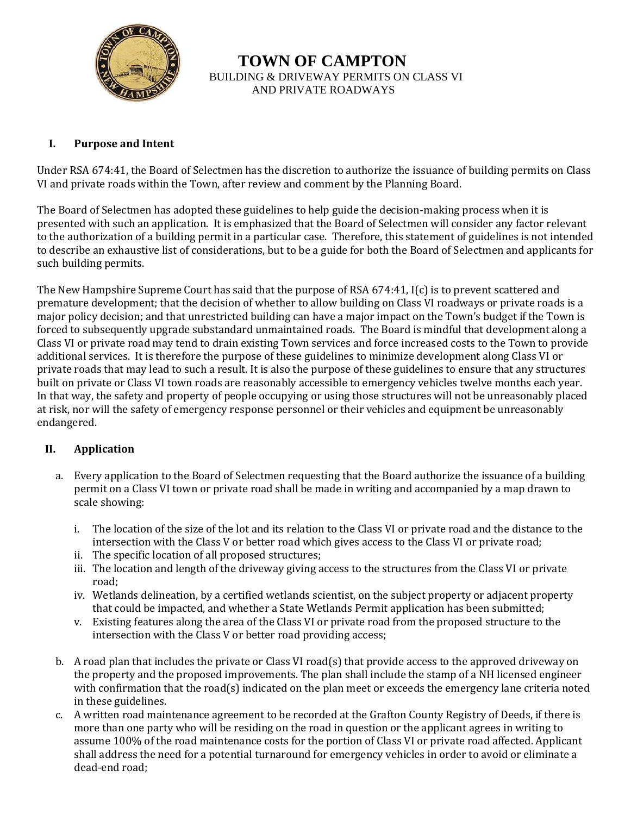

 **TOWN OF CAMPTON**  BUILDING & DRIVEWAY PERMITS ON CLASS VI AND PRIVATE ROADWAYS

#### **I. Purpose and Intent**

Under RSA 674:41, the Board of Selectmen has the discretion to authorize the issuance of building permits on Class VI and private roads within the Town, after review and comment by the Planning Board.

The Board of Selectmen has adopted these guidelines to help guide the decision-making process when it is presented with such an application. It is emphasized that the Board of Selectmen will consider any factor relevant to the authorization of a building permit in a particular case. Therefore, this statement of guidelines is not intended to describe an exhaustive list of considerations, but to be a guide for both the Board of Selectmen and applicants for such building permits.

The New Hampshire Supreme Court has said that the purpose of RSA 674:41, I(c) is to prevent scattered and premature development; that the decision of whether to allow building on Class VI roadways or private roads is a major policy decision; and that unrestricted building can have a major impact on the Town's budget if the Town is forced to subsequently upgrade substandard unmaintained roads. The Board is mindful that development along a Class VI or private road may tend to drain existing Town services and force increased costs to the Town to provide additional services. It is therefore the purpose of these guidelines to minimize development along Class VI or private roads that may lead to such a result. It is also the purpose of these guidelines to ensure that any structures built on private or Class VI town roads are reasonably accessible to emergency vehicles twelve months each year. In that way, the safety and property of people occupying or using those structures will not be unreasonably placed at risk, nor will the safety of emergency response personnel or their vehicles and equipment be unreasonably endangered.

#### **II. Application**

- a. Every application to the Board of Selectmen requesting that the Board authorize the issuance of a building permit on a Class VI town or private road shall be made in writing and accompanied by a map drawn to scale showing:
	- i. The location of the size of the lot and its relation to the Class VI or private road and the distance to the intersection with the Class V or better road which gives access to the Class VI or private road;
	- ii. The specific location of all proposed structures;
	- iii. The location and length of the driveway giving access to the structures from the Class VI or private road;
	- iv. Wetlands delineation, by a certified wetlands scientist, on the subject property or adjacent property that could be impacted, and whether a State Wetlands Permit application has been submitted;
	- v. Existing features along the area of the Class VI or private road from the proposed structure to the intersection with the Class V or better road providing access;
- b. A road plan that includes the private or Class VI road(s) that provide access to the approved driveway on the property and the proposed improvements. The plan shall include the stamp of a NH licensed engineer with confirmation that the road(s) indicated on the plan meet or exceeds the emergency lane criteria noted in these guidelines.
- c. A written road maintenance agreement to be recorded at the Grafton County Registry of Deeds, if there is more than one party who will be residing on the road in question or the applicant agrees in writing to assume 100% of the road maintenance costs for the portion of Class VI or private road affected. Applicant shall address the need for a potential turnaround for emergency vehicles in order to avoid or eliminate a dead-end road;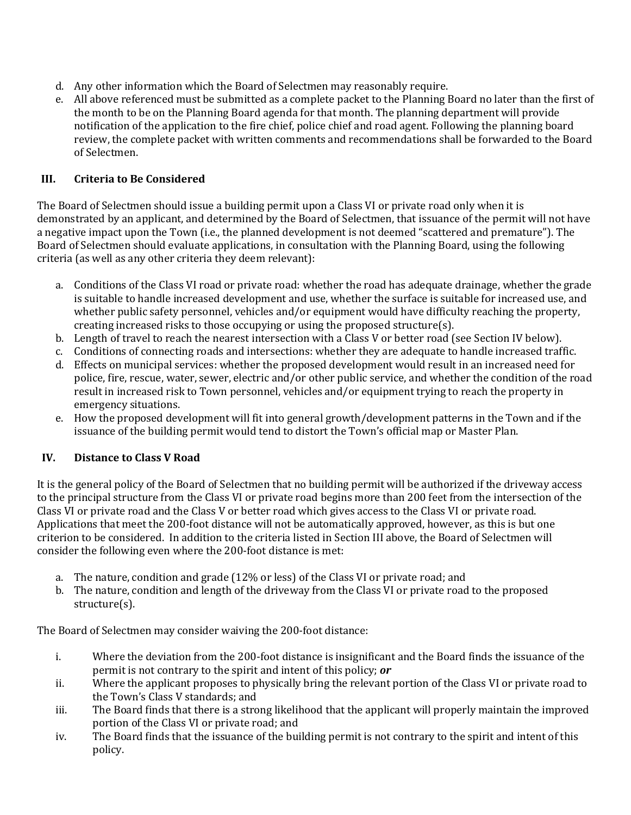- d. Any other information which the Board of Selectmen may reasonably require.
- e. All above referenced must be submitted as a complete packet to the Planning Board no later than the first of the month to be on the Planning Board agenda for that month. The planning department will provide notification of the application to the fire chief, police chief and road agent. Following the planning board review, the complete packet with written comments and recommendations shall be forwarded to the Board of Selectmen.

# **III. Criteria to Be Considered**

The Board of Selectmen should issue a building permit upon a Class VI or private road only when it is demonstrated by an applicant, and determined by the Board of Selectmen, that issuance of the permit will not have a negative impact upon the Town (i.e., the planned development is not deemed "scattered and premature"). The Board of Selectmen should evaluate applications, in consultation with the Planning Board, using the following criteria (as well as any other criteria they deem relevant):

- a. Conditions of the Class VI road or private road: whether the road has adequate drainage, whether the grade is suitable to handle increased development and use, whether the surface is suitable for increased use, and whether public safety personnel, vehicles and/or equipment would have difficulty reaching the property, creating increased risks to those occupying or using the proposed structure(s).
- b. Length of travel to reach the nearest intersection with a Class V or better road (see Section IV below).
- c. Conditions of connecting roads and intersections: whether they are adequate to handle increased traffic.
- d. Effects on municipal services: whether the proposed development would result in an increased need for police, fire, rescue, water, sewer, electric and/or other public service, and whether the condition of the road result in increased risk to Town personnel, vehicles and/or equipment trying to reach the property in emergency situations.
- e. How the proposed development will fit into general growth/development patterns in the Town and if the issuance of the building permit would tend to distort the Town's official map or Master Plan.

### **IV. Distance to Class V Road**

It is the general policy of the Board of Selectmen that no building permit will be authorized if the driveway access to the principal structure from the Class VI or private road begins more than 200 feet from the intersection of the Class VI or private road and the Class V or better road which gives access to the Class VI or private road. Applications that meet the 200-foot distance will not be automatically approved, however, as this is but one criterion to be considered. In addition to the criteria listed in Section III above, the Board of Selectmen will consider the following even where the 200-foot distance is met:

- a. The nature, condition and grade (12% or less) of the Class VI or private road; and
- b. The nature, condition and length of the driveway from the Class VI or private road to the proposed structure(s).

The Board of Selectmen may consider waiving the 200-foot distance:

- i. Where the deviation from the 200-foot distance is insignificant and the Board finds the issuance of the permit is not contrary to the spirit and intent of this policy; *or*
- ii. Where the applicant proposes to physically bring the relevant portion of the Class VI or private road to the Town's Class V standards; and
- iii. The Board finds that there is a strong likelihood that the applicant will properly maintain the improved portion of the Class VI or private road; and
- iv. The Board finds that the issuance of the building permit is not contrary to the spirit and intent of this policy.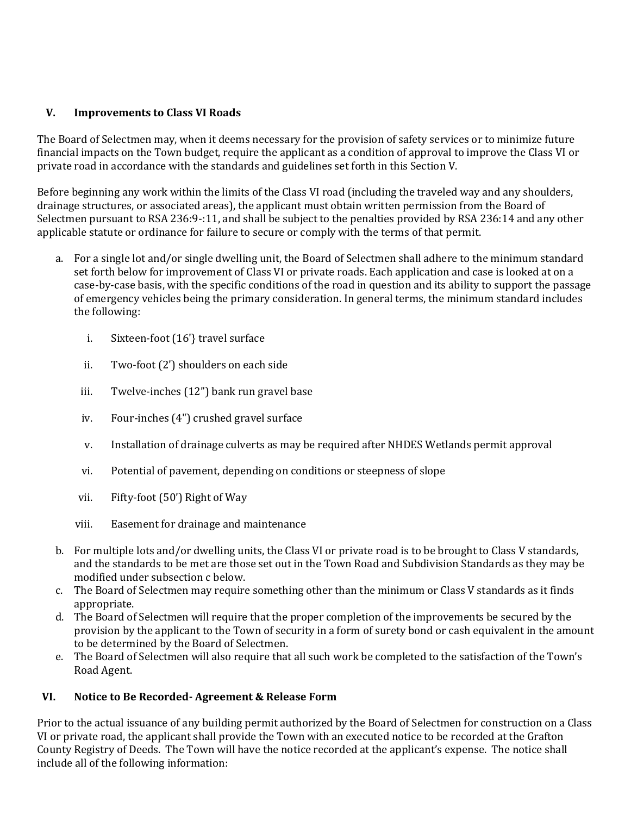### **V. Improvements to Class VI Roads**

The Board of Selectmen may, when it deems necessary for the provision of safety services or to minimize future financial impacts on the Town budget, require the applicant as a condition of approval to improve the Class VI or private road in accordance with the standards and guidelines set forth in this Section V.

Before beginning any work within the limits of the Class VI road (including the traveled way and any shoulders, drainage structures, or associated areas), the applicant must obtain written permission from the Board of Selectmen pursuant to RSA 236:9-:11, and shall be subject to the penalties provided by RSA 236:14 and any other applicable statute or ordinance for failure to secure or comply with the terms of that permit.

- a. For a single lot and/or single dwelling unit, the Board of Selectmen shall adhere to the minimum standard set forth below for improvement of Class VI or private roads. Each application and case is looked at on a case-by-case basis, with the specific conditions of the road in question and its ability to support the passage of emergency vehicles being the primary consideration. In general terms, the minimum standard includes the following:
	- i. Sixteen-foot (16'} travel surface
	- ii. Two-foot (2') shoulders on each side
	- iii. Twelve-inches (12") bank run gravel base
	- iv. Four-inches (4") crushed gravel surface
	- v. Installation of drainage culverts as may be required after NHDES Wetlands permit approval
	- vi. Potential of pavement, depending on conditions or steepness of slope
	- vii. Fifty-foot (50') Right of Way
	- viii. Easement for drainage and maintenance
- b. For multiple lots and/or dwelling units, the Class VI or private road is to be brought to Class V standards, and the standards to be met are those set out in the Town Road and Subdivision Standards as they may be modified under subsection c below.
- c. The Board of Selectmen may require something other than the minimum or Class V standards as it finds appropriate.
- d. The Board of Selectmen will require that the proper completion of the improvements be secured by the provision by the applicant to the Town of security in a form of surety bond or cash equivalent in the amount to be determined by the Board of Selectmen.
- e. The Board of Selectmen will also require that all such work be completed to the satisfaction of the Town's Road Agent.

#### **VI. Notice to Be Recorded- Agreement & Release Form**

Prior to the actual issuance of any building permit authorized by the Board of Selectmen for construction on a Class VI or private road, the applicant shall provide the Town with an executed notice to be recorded at the Grafton County Registry of Deeds. The Town will have the notice recorded at the applicant's expense. The notice shall include all of the following information: